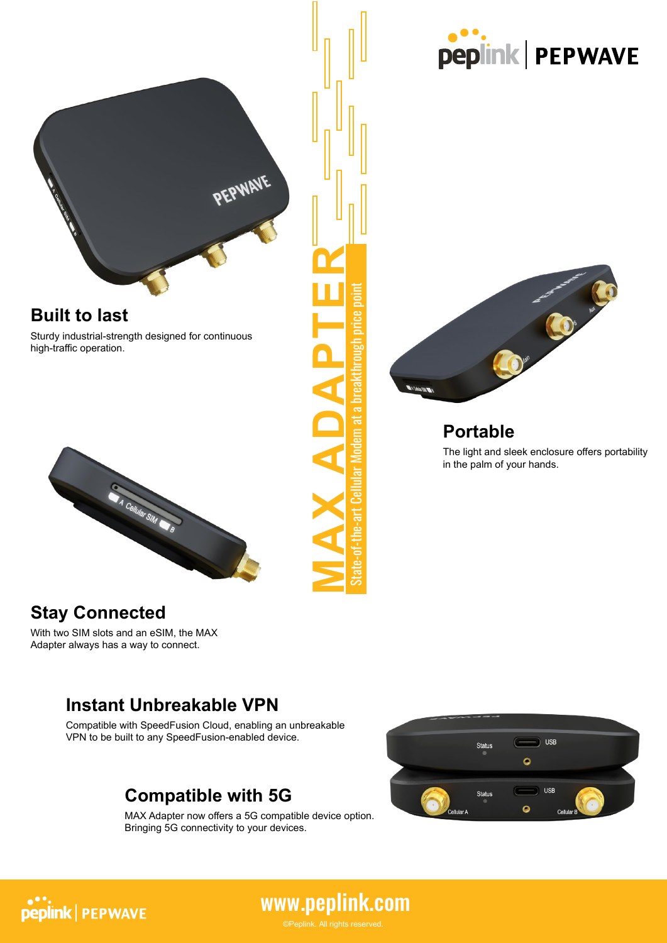

#### **Built to last**

Sturdy industrial-strength designed for continuous high-traffic operation.



### **Stay Connected**

With two SIM slots and an eSIM, the MAX Adapter always has a way to connect.

#### **Instant Unbreakable VPN**

Compatible with SpeedFusion Cloud, enabling an unbreakable VPN to be built to any SpeedFusion-enabled device.

### **Compatible with 5G**

MAX Adapter now offers a 5G compatible device option. Bringing 5G connectivity to your devices.







### **Portable**

The light and sleek enclosure offers portability in the palm of your hands.

**peplink | PEPWAVE**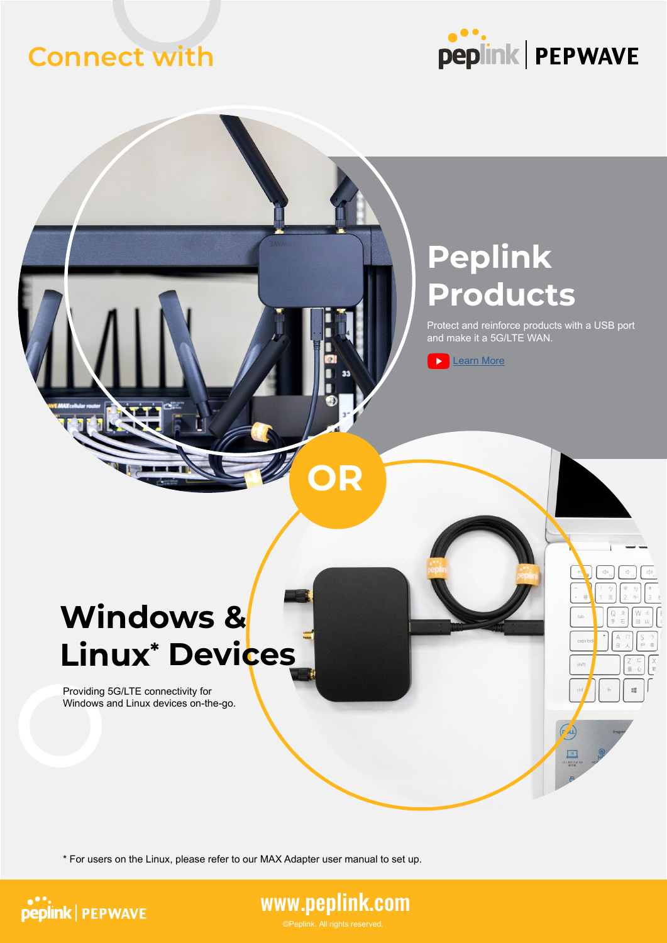### **Connect with**



## **Peplink Products**

Protect and reinforce products with a USB port and make it a 5G/LTE WAN.

œ

 $\sqrt{\mu}$ 



# **Windows & Linux\* Devices**

Providing 5G/LTE connectivity for Windows and Linux devices on-the-go.

\* For users on the Linux, please refer to our MAX Adapter user manual to set up.





**OR**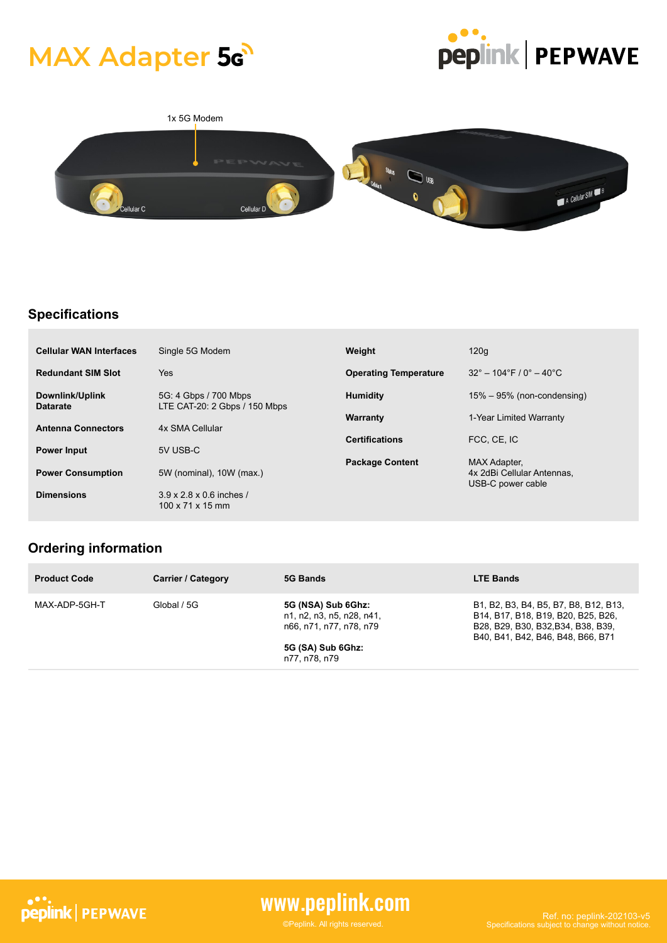## **MAX Adapter 5<sub>G</sub>**





#### **Specifications**

| <b>Cellular WAN Interfaces</b>     | Single 5G Modem                                          | Weight                       | 120q                                               |
|------------------------------------|----------------------------------------------------------|------------------------------|----------------------------------------------------|
| <b>Redundant SIM Slot</b>          | <b>Yes</b>                                               | <b>Operating Temperature</b> | $32^{\circ} - 104^{\circ}$ F / 0° $- 40^{\circ}$ C |
| Downlink/Uplink<br><b>Datarate</b> | 5G: 4 Gbps / 700 Mbps<br>LTE CAT-20: 2 Gbps / 150 Mbps   | <b>Humidity</b>              | $15\% - 95\%$ (non-condensing)                     |
|                                    |                                                          | Warranty                     | 1-Year Limited Warranty                            |
| <b>Antenna Connectors</b>          | 4x SMA Cellular                                          | <b>Certifications</b>        | FCC, CE, IC                                        |
| <b>Power Input</b>                 | 5V USB-C                                                 | <b>Package Content</b>       | MAX Adapter,                                       |
| <b>Power Consumption</b>           | 5W (nominal), 10W (max.)                                 |                              | 4x 2dBi Cellular Antennas.<br>USB-C power cable    |
| <b>Dimensions</b>                  | 3.9 x 2.8 x 0.6 inches /<br>$100 \times 71 \times 15$ mm |                              |                                                    |

#### **Ordering information**

| <b>Product Code</b> | <b>Carrier / Category</b> | 5G Bands                                                                                                         | <b>LTE Bands</b>                                                                                                                                       |
|---------------------|---------------------------|------------------------------------------------------------------------------------------------------------------|--------------------------------------------------------------------------------------------------------------------------------------------------------|
| MAX-ADP-5GH-T       | Global / 5G               | 5G (NSA) Sub 6Ghz:<br>n1, n2, n3, n5, n28, n41,<br>n66, n71, n77, n78, n79<br>5G (SA) Sub 6Ghz:<br>n77, n78, n79 | B1, B2, B3, B4, B5, B7, B8, B12, B13,<br>B14, B17, B18, B19, B20, B25, B26,<br>B28, B29, B30, B32, B34, B38, B39,<br>B40, B41, B42, B46, B48, B66, B71 |



### www.peplink.com